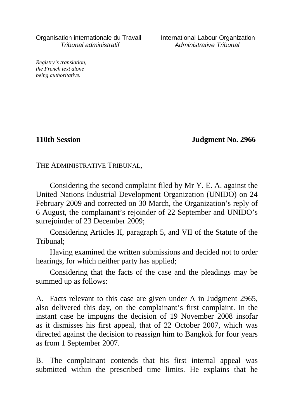Organisation internationale du Travail International Labour Organization Tribunal administratif Administrative Tribunal

*Registry's translation, the French text alone being authoritative.*

**110th Session Judgment No. 2966**

THE ADMINISTRATIVE TRIBUNAL,

Considering the second complaint filed by Mr Y. E. A. against the United Nations Industrial Development Organization (UNIDO) on 24 February 2009 and corrected on 30 March, the Organization's reply of 6 August, the complainant's rejoinder of 22 September and UNIDO's surrejoinder of 23 December 2009;

Considering Articles II, paragraph 5, and VII of the Statute of the Tribunal;

Having examined the written submissions and decided not to order hearings, for which neither party has applied;

Considering that the facts of the case and the pleadings may be summed up as follows:

A. Facts relevant to this case are given under A in Judgment 2965, also delivered this day, on the complainant's first complaint. In the instant case he impugns the decision of 19 November 2008 insofar as it dismisses his first appeal, that of 22 October 2007, which was directed against the decision to reassign him to Bangkok for four years as from 1 September 2007.

B. The complainant contends that his first internal appeal was submitted within the prescribed time limits. He explains that he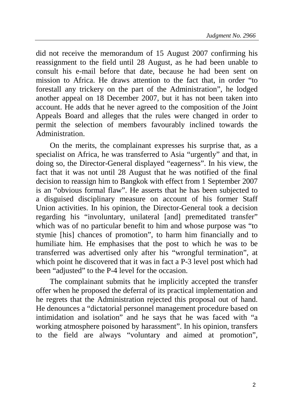did not receive the memorandum of 15 August 2007 confirming his reassignment to the field until 28 August, as he had been unable to consult his e-mail before that date, because he had been sent on mission to Africa. He draws attention to the fact that, in order "to forestall any trickery on the part of the Administration", he lodged another appeal on 18 December 2007, but it has not been taken into account. He adds that he never agreed to the composition of the Joint Appeals Board and alleges that the rules were changed in order to permit the selection of members favourably inclined towards the Administration.

On the merits, the complainant expresses his surprise that, as a specialist on Africa, he was transferred to Asia "urgently" and that, in doing so, the Director-General displayed "eagerness". In his view, the fact that it was not until 28 August that he was notified of the final decision to reassign him to Bangkok with effect from 1 September 2007 is an "obvious formal flaw". He asserts that he has been subjected to a disguised disciplinary measure on account of his former Staff Union activities. In his opinion, the Director-General took a decision regarding his "involuntary, unilateral [and] premeditated transfer" which was of no particular benefit to him and whose purpose was "to stymie [his] chances of promotion", to harm him financially and to humiliate him. He emphasises that the post to which he was to be transferred was advertised only after his "wrongful termination", at which point he discovered that it was in fact a P-3 level post which had been "adjusted" to the P-4 level for the occasion.

The complainant submits that he implicitly accepted the transfer offer when he proposed the deferral of its practical implementation and he regrets that the Administration rejected this proposal out of hand. He denounces a "dictatorial personnel management procedure based on intimidation and isolation" and he says that he was faced with "a working atmosphere poisoned by harassment". In his opinion, transfers to the field are always "voluntary and aimed at promotion",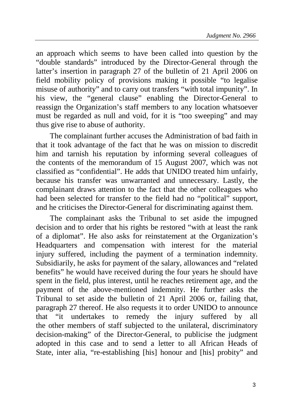an approach which seems to have been called into question by the "double standards" introduced by the Director-General through the latter's insertion in paragraph 27 of the bulletin of 21 April 2006 on field mobility policy of provisions making it possible "to legalise misuse of authority" and to carry out transfers "with total impunity". In his view, the "general clause" enabling the Director-General to reassign the Organization's staff members to any location whatsoever must be regarded as null and void, for it is "too sweeping" and may thus give rise to abuse of authority.

The complainant further accuses the Administration of bad faith in that it took advantage of the fact that he was on mission to discredit him and tarnish his reputation by informing several colleagues of the contents of the memorandum of 15 August 2007, which was not classified as "confidential". He adds that UNIDO treated him unfairly, because his transfer was unwarranted and unnecessary. Lastly, the complainant draws attention to the fact that the other colleagues who had been selected for transfer to the field had no "political" support, and he criticises the Director-General for discriminating against them.

The complainant asks the Tribunal to set aside the impugned decision and to order that his rights be restored "with at least the rank of a diplomat". He also asks for reinstatement at the Organization's Headquarters and compensation with interest for the material injury suffered, including the payment of a termination indemnity. Subsidiarily, he asks for payment of the salary, allowances and "related benefits" he would have received during the four years he should have spent in the field, plus interest, until he reaches retirement age, and the payment of the above-mentioned indemnity. He further asks the Tribunal to set aside the bulletin of 21 April 2006 or, failing that, paragraph 27 thereof. He also requests it to order UNIDO to announce that "it undertakes to remedy the injury suffered by all the other members of staff subjected to the unilateral, discriminatory decision-making" of the Director-General, to publicise the judgment adopted in this case and to send a letter to all African Heads of State, inter alia, "re-establishing [his] honour and [his] probity" and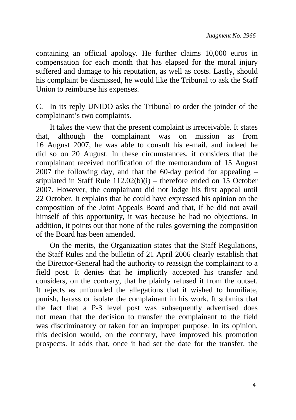containing an official apology. He further claims 10,000 euros in compensation for each month that has elapsed for the moral injury suffered and damage to his reputation, as well as costs. Lastly, should his complaint be dismissed, he would like the Tribunal to ask the Staff Union to reimburse his expenses.

C. In its reply UNIDO asks the Tribunal to order the joinder of the complainant's two complaints.

It takes the view that the present complaint is irreceivable. It states that, although the complainant was on mission as from 16 August 2007, he was able to consult his e-mail, and indeed he did so on 20 August. In these circumstances, it considers that the complainant received notification of the memorandum of 15 August 2007 the following day, and that the 60-day period for appealing – stipulated in Staff Rule 112.02(b)(i) – therefore ended on 15 October 2007. However, the complainant did not lodge his first appeal until 22 October. It explains that he could have expressed his opinion on the composition of the Joint Appeals Board and that, if he did not avail himself of this opportunity, it was because he had no objections. In addition, it points out that none of the rules governing the composition of the Board has been amended.

On the merits, the Organization states that the Staff Regulations, the Staff Rules and the bulletin of 21 April 2006 clearly establish that the Director-General had the authority to reassign the complainant to a field post. It denies that he implicitly accepted his transfer and considers, on the contrary, that he plainly refused it from the outset. It rejects as unfounded the allegations that it wished to humiliate, punish, harass or isolate the complainant in his work. It submits that the fact that a P-3 level post was subsequently advertised does not mean that the decision to transfer the complainant to the field was discriminatory or taken for an improper purpose. In its opinion, this decision would, on the contrary, have improved his promotion prospects. It adds that, once it had set the date for the transfer, the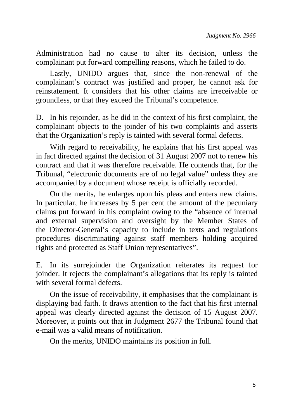Administration had no cause to alter its decision, unless the complainant put forward compelling reasons, which he failed to do.

Lastly, UNIDO argues that, since the non-renewal of the complainant's contract was justified and proper, he cannot ask for reinstatement. It considers that his other claims are irreceivable or groundless, or that they exceed the Tribunal's competence.

D. In his rejoinder, as he did in the context of his first complaint, the complainant objects to the joinder of his two complaints and asserts that the Organization's reply is tainted with several formal defects.

With regard to receivability, he explains that his first appeal was in fact directed against the decision of 31 August 2007 not to renew his contract and that it was therefore receivable. He contends that, for the Tribunal, "electronic documents are of no legal value" unless they are accompanied by a document whose receipt is officially recorded.

On the merits, he enlarges upon his pleas and enters new claims. In particular, he increases by 5 per cent the amount of the pecuniary claims put forward in his complaint owing to the "absence of internal and external supervision and oversight by the Member States of the Director-General's capacity to include in texts and regulations procedures discriminating against staff members holding acquired rights and protected as Staff Union representatives".

E. In its surrejoinder the Organization reiterates its request for joinder. It rejects the complainant's allegations that its reply is tainted with several formal defects.

On the issue of receivability, it emphasises that the complainant is displaying bad faith. It draws attention to the fact that his first internal appeal was clearly directed against the decision of 15 August 2007. Moreover, it points out that in Judgment 2677 the Tribunal found that e-mail was a valid means of notification.

On the merits, UNIDO maintains its position in full.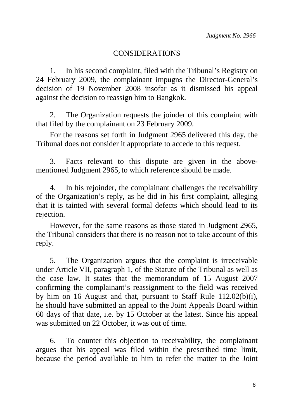## CONSIDERATIONS

1. In his second complaint, filed with the Tribunal's Registry on 24 February 2009, the complainant impugns the Director-General's decision of 19 November 2008 insofar as it dismissed his appeal against the decision to reassign him to Bangkok.

2. The Organization requests the joinder of this complaint with that filed by the complainant on 23 February 2009.

For the reasons set forth in Judgment 2965 delivered this day, the Tribunal does not consider it appropriate to accede to this request.

3. Facts relevant to this dispute are given in the abovementioned Judgment 2965, to which reference should be made.

4. In his rejoinder, the complainant challenges the receivability of the Organization's reply, as he did in his first complaint, alleging that it is tainted with several formal defects which should lead to its rejection.

However, for the same reasons as those stated in Judgment 2965, the Tribunal considers that there is no reason not to take account of this reply.

5. The Organization argues that the complaint is irreceivable under Article VII, paragraph 1, of the Statute of the Tribunal as well as the case law. It states that the memorandum of 15 August 2007 confirming the complainant's reassignment to the field was received by him on 16 August and that, pursuant to Staff Rule 112.02(b)(i), he should have submitted an appeal to the Joint Appeals Board within 60 days of that date, i.e. by 15 October at the latest. Since his appeal was submitted on 22 October, it was out of time.

6. To counter this objection to receivability, the complainant argues that his appeal was filed within the prescribed time limit, because the period available to him to refer the matter to the Joint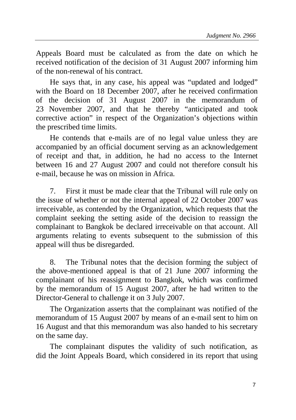Appeals Board must be calculated as from the date on which he received notification of the decision of 31 August 2007 informing him of the non-renewal of his contract.

He says that, in any case, his appeal was "updated and lodged" with the Board on 18 December 2007, after he received confirmation of the decision of 31 August 2007 in the memorandum of 23 November 2007, and that he thereby "anticipated and took corrective action" in respect of the Organization's objections within the prescribed time limits.

He contends that e-mails are of no legal value unless they are accompanied by an official document serving as an acknowledgement of receipt and that, in addition, he had no access to the Internet between 16 and 27 August 2007 and could not therefore consult his e-mail, because he was on mission in Africa.

7. First it must be made clear that the Tribunal will rule only on the issue of whether or not the internal appeal of 22 October 2007 was irreceivable, as contended by the Organization, which requests that the complaint seeking the setting aside of the decision to reassign the complainant to Bangkok be declared irreceivable on that account. All arguments relating to events subsequent to the submission of this appeal will thus be disregarded.

8. The Tribunal notes that the decision forming the subject of the above-mentioned appeal is that of 21 June 2007 informing the complainant of his reassignment to Bangkok, which was confirmed by the memorandum of 15 August 2007, after he had written to the Director-General to challenge it on 3 July 2007.

The Organization asserts that the complainant was notified of the memorandum of 15 August 2007 by means of an e-mail sent to him on 16 August and that this memorandum was also handed to his secretary on the same day.

The complainant disputes the validity of such notification, as did the Joint Appeals Board, which considered in its report that using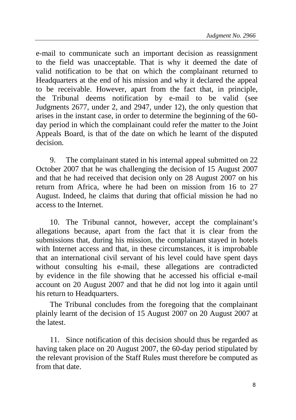e-mail to communicate such an important decision as reassignment to the field was unacceptable. That is why it deemed the date of valid notification to be that on which the complainant returned to Headquarters at the end of his mission and why it declared the appeal to be receivable. However, apart from the fact that, in principle, the Tribunal deems notification by e-mail to be valid (see Judgments 2677, under 2, and 2947, under 12), the only question that arises in the instant case, in order to determine the beginning of the 60 day period in which the complainant could refer the matter to the Joint Appeals Board, is that of the date on which he learnt of the disputed decision.

9. The complainant stated in his internal appeal submitted on 22 October 2007 that he was challenging the decision of 15 August 2007 and that he had received that decision only on 28 August 2007 on his return from Africa, where he had been on mission from 16 to 27 August. Indeed, he claims that during that official mission he had no access to the Internet.

10. The Tribunal cannot, however, accept the complainant's allegations because, apart from the fact that it is clear from the submissions that, during his mission, the complainant stayed in hotels with Internet access and that, in these circumstances, it is improbable that an international civil servant of his level could have spent days without consulting his e-mail, these allegations are contradicted by evidence in the file showing that he accessed his official e-mail account on 20 August 2007 and that he did not log into it again until his return to Headquarters.

The Tribunal concludes from the foregoing that the complainant plainly learnt of the decision of 15 August 2007 on 20 August 2007 at the latest.

11. Since notification of this decision should thus be regarded as having taken place on 20 August 2007, the 60-day period stipulated by the relevant provision of the Staff Rules must therefore be computed as from that date.